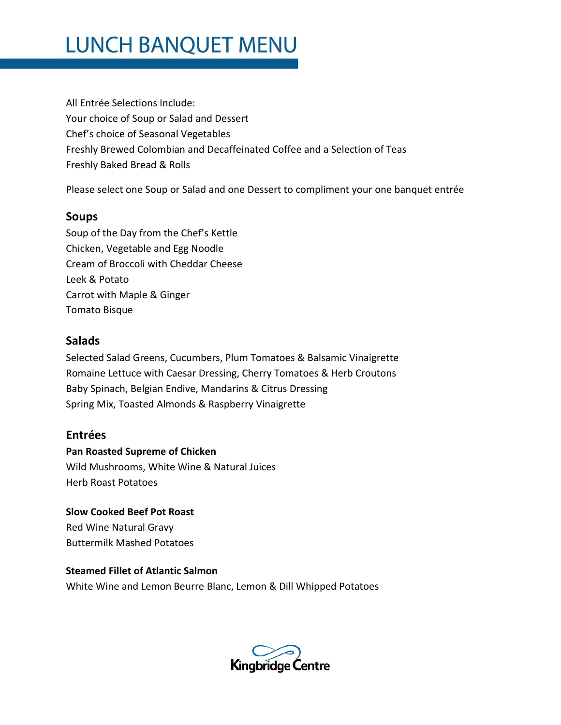# **LUNCH BANQUET MENU**

All Entrée Selections Include: Your choice of Soup or Salad and Dessert Chef's choice of Seasonal Vegetables Freshly Brewed Colombian and Decaffeinated Coffee and a Selection of Teas Freshly Baked Bread & Rolls

Please select one Soup or Salad and one Dessert to compliment your one banquet entrée

### **Soups**

Soup of the Day from the Chef's Kettle Chicken, Vegetable and Egg Noodle Cream of Broccoli with Cheddar Cheese Leek & Potato Carrot with Maple & Ginger Tomato Bisque

### **Salads**

Selected Salad Greens, Cucumbers, Plum Tomatoes & Balsamic Vinaigrette Romaine Lettuce with Caesar Dressing, Cherry Tomatoes & Herb Croutons Baby Spinach, Belgian Endive, Mandarins & Citrus Dressing Spring Mix, Toasted Almonds & Raspberry Vinaigrette

## **Entrées**

#### **Pan Roasted Supreme of Chicken**

Wild Mushrooms, White Wine & Natural Juices Herb Roast Potatoes

**Slow Cooked Beef Pot Roast** Red Wine Natural Gravy Buttermilk Mashed Potatoes

#### **Steamed Fillet of Atlantic Salmon**

White Wine and Lemon Beurre Blanc, Lemon & Dill Whipped Potatoes

**Kingbridge Centre**